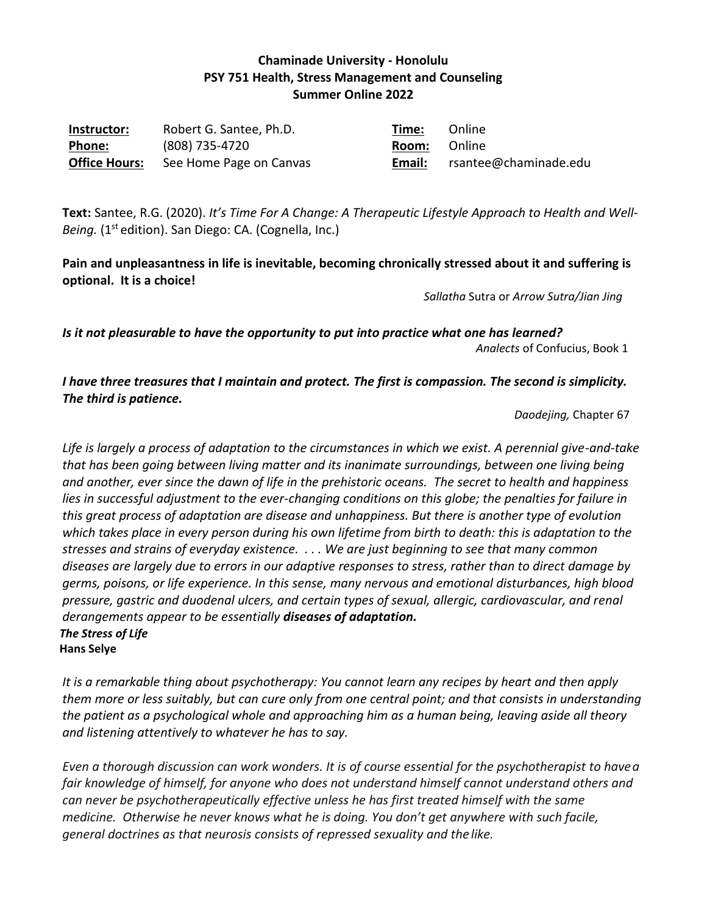## **Chaminade University - Honolulu PSY 751 Health, Stress Management and Counseling Summer Online 2022**

| Instructor:          | Robert G. Santee, Ph.D. | Time:  | Online                |
|----------------------|-------------------------|--------|-----------------------|
| <b>Phone:</b>        | (808) 735-4720          | Room:  | – Online              |
| <b>Office Hours:</b> | See Home Page on Canvas | Email: | rsantee@chaminade.edu |

**Text:** Santee, R.G. (2020). *It's Time For A Change: A Therapeutic Lifestyle Approach to Health and Well‐ Being.* (1<sup>st</sup> edition). San Diego: CA. (Cognella, Inc.)

**Pain and unpleasantness in life is inevitable, becoming chronically stressed about it and suffering is optional. It is a choice!**

*Sallatha* Sutra or *Arrow Sutra/Jian Jing*

*Is it not pleasurable to have the opportunity to put into practice what one has learned? Analects* of Confucius, Book 1

*I have three treasures that I maintain and protect. The first is compassion. The second is simplicity. The third is patience.*

*Daodejing,* Chapter 67

*Life is largely a process of adaptation to the circumstances in which we exist. A perennial give-and-take that has been going between living matter and its inanimate surroundings, between one living being and another, ever since the dawn of life in the prehistoric oceans. The secret to health and happiness lies in successful adjustment to the ever-changing conditions on this globe; the penalties for failure in this great process of adaptation are disease and unhappiness. But there is another type of evolution which takes place in every person during his own lifetime from birth to death: this is adaptation to the stresses and strains of everyday existence. . . . We are just beginning to see that many common diseases are largely due to errors in our adaptive responses to stress, rather than to direct damage by germs, poisons, or life experience. In this sense, many nervous and emotional disturbances, high blood pressure, gastric and duodenal ulcers, and certain types of sexual, allergic, cardiovascular, and renal derangements appear to be essentially diseases of adaptation. The Stress of Life*

 **Hans Selye**

*It is a remarkable thing about psychotherapy: You cannot learn any recipes by heart and then apply them more or less suitably, but can cure only from one central point; and that consists in understanding the patient as a psychological whole and approaching him as a human being, leaving aside all theory and listening attentively to whatever he has to say.*

*Even a thorough discussion can work wonders. It is of course essential for the psychotherapist to havea fair knowledge of himself, for anyone who does not understand himself cannot understand others and can never be psychotherapeutically effective unless he has first treated himself with the same medicine. Otherwise he never knows what he is doing. You don't get anywhere with such facile, general doctrines as that neurosis consists of repressed sexuality and the like.*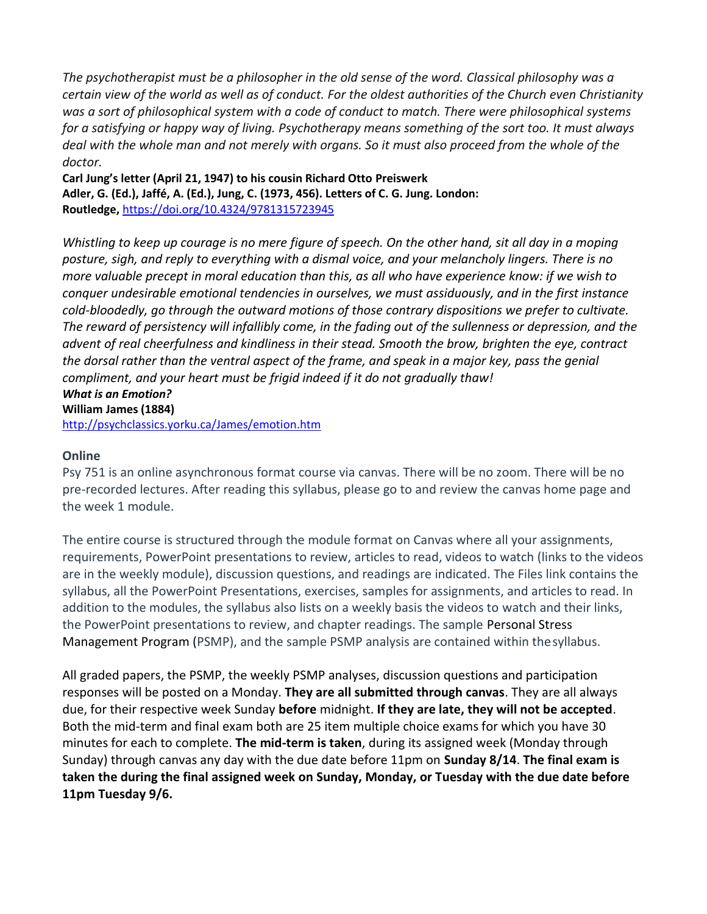*The psychotherapist must be a philosopher in the old sense of the word. Classical philosophy was a certain view of the world as well as of conduct. For the oldest authorities of the Church even Christianity was a sort of philosophical system with a code of conduct to match. There were philosophical systems for a satisfying or happy way of living. Psychotherapy means something of the sort too. It must always deal with the whole man and not merely with organs. So it must also proceed from the whole of the doctor.*

**Carl Jung's letter (April 21, 1947) to his cousin Richard Otto Preiswerk Adler, G. (Ed.), Jaffé, A. (Ed.), Jung, C. (1973, 456). Letters of C. G. Jung. London: Routledge,** <https://doi.org/10.4324/9781315723945>

*Whistling to keep up courage is no mere figure of speech. On the other hand, sit all day in a moping posture, sigh, and reply to everything with a dismal voice, and your melancholy lingers. There is no more valuable precept in moral education than this, as all who have experience know: if we wish to conquer undesirable emotional tendencies in ourselves, we must assiduously, and in the first instance cold-bloodedly, go through the outward motions of those contrary dispositions we prefer to cultivate. The reward of persistency will infallibly come, in the fading out of the sullenness or depression, and the advent of real cheerfulness and kindliness in their stead. Smooth the brow, brighten the eye, contract the dorsal rather than the ventral aspect of the frame, and speak in a major key, pass the genial compliment, and your heart must be frigid indeed if it do not gradually thaw! What is an Emotion?*

**William James (1884)**

<http://psychclassics.yorku.ca/James/emotion.htm>

#### **Online**

Psy 751 is an online asynchronous format course via canvas. There will be no zoom. There will be no pre-recorded lectures. After reading this syllabus, please go to and review the canvas home page and the week 1 module.

The entire course is structured through the module format on Canvas where all your assignments, requirements, PowerPoint presentations to review, articles to read, videos to watch (links to the videos are in the weekly module), discussion questions, and readings are indicated. The Files link contains the syllabus, all the PowerPoint Presentations, exercises, samples for assignments, and articles to read. In addition to the modules, the syllabus also lists on a weekly basis the videos to watch and their links, the PowerPoint presentations to review, and chapter readings. The sample Personal Stress Management Program (PSMP), and the sample PSMP analysis are contained within thesyllabus.

All graded papers, the PSMP, the weekly PSMP analyses, discussion questions and participation responses will be posted on a Monday. **They are all submitted through canvas**. They are all always due, for their respective week Sunday **before** midnight. **If they are late, they will not be accepted**. Both the mid-term and final exam both are 25 item multiple choice exams for which you have 30 minutes for each to complete. **The mid-term is taken**, during its assigned week (Monday through Sunday) through canvas any day with the due date before 11pm on **Sunday 8/14**. **The final exam is taken the during the final assigned week on Sunday, Monday, or Tuesday with the due date before 11pm Tuesday 9/6.**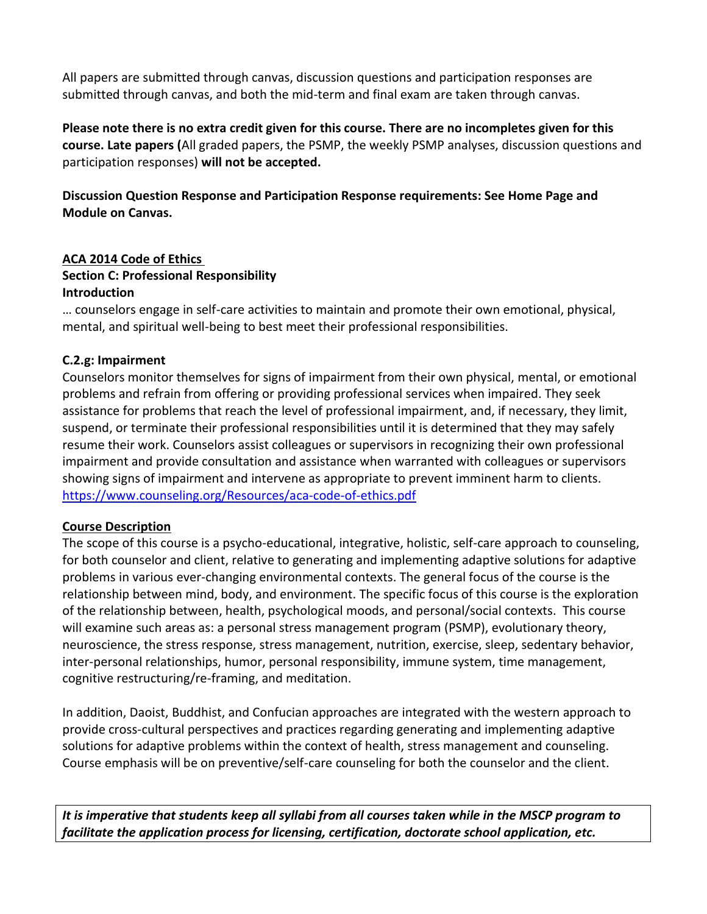All papers are submitted through canvas, discussion questions and participation responses are submitted through canvas, and both the mid-term and final exam are taken through canvas.

**Please note there is no extra credit given for this course. There are no incompletes given for this course. Late papers (**All graded papers, the PSMP, the weekly PSMP analyses, discussion questions and participation responses) **will not be accepted.**

**Discussion Question Response and Participation Response requirements: See Home Page and Module on Canvas.**

#### **ACA 2014 Code of Ethics**

#### **Section C: Professional Responsibility Introduction**

… counselors engage in self-care activities to maintain and promote their own emotional, physical, mental, and spiritual well-being to best meet their professional responsibilities.

#### **C.2.g: Impairment**

Counselors monitor themselves for signs of impairment from their own physical, mental, or emotional problems and refrain from offering or providing professional services when impaired. They seek assistance for problems that reach the level of professional impairment, and, if necessary, they limit, suspend, or terminate their professional responsibilities until it is determined that they may safely resume their work. Counselors assist colleagues or supervisors in recognizing their own professional impairment and provide consultation and assistance when warranted with colleagues or supervisors showing signs of impairment and intervene as appropriate to prevent imminent harm to clients. <https://www.counseling.org/Resources/aca-code-of-ethics.pdf>

#### **Course Description**

The scope of this course is a psycho-educational, integrative, holistic, self-care approach to counseling, for both counselor and client, relative to generating and implementing adaptive solutions for adaptive problems in various ever-changing environmental contexts. The general focus of the course is the relationship between mind, body, and environment. The specific focus of this course is the exploration of the relationship between, health, psychological moods, and personal/social contexts. This course will examine such areas as: a personal stress management program (PSMP), evolutionary theory, neuroscience, the stress response, stress management, nutrition, exercise, sleep, sedentary behavior, inter-personal relationships, humor, personal responsibility, immune system, time management, cognitive restructuring/re-framing, and meditation.

In addition, Daoist, Buddhist, and Confucian approaches are integrated with the western approach to provide cross-cultural perspectives and practices regarding generating and implementing adaptive solutions for adaptive problems within the context of health, stress management and counseling. Course emphasis will be on preventive/self-care counseling for both the counselor and the client.

*It is imperative that students keep all syllabi from all courses taken while in the MSCP program to facilitate the application process for licensing, certification, doctorate school application, etc.*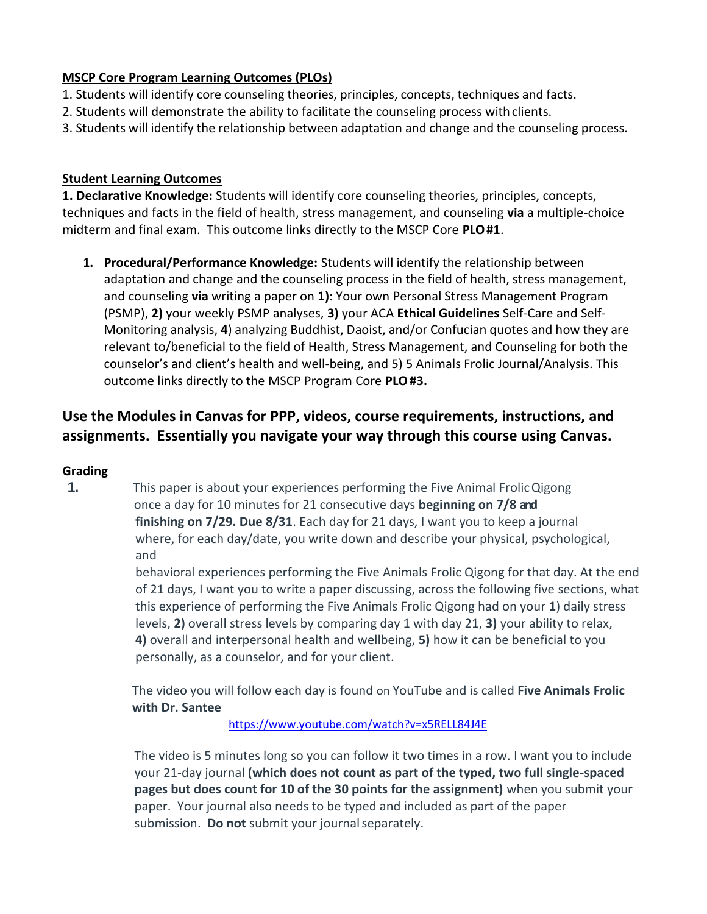### **MSCP Core Program Learning Outcomes (PLOs)**

- 1. Students will identify core counseling theories, principles, concepts, techniques and facts.
- 2. Students will demonstrate the ability to facilitate the counseling process withclients.
- 3. Students will identify the relationship between adaptation and change and the counseling process.

### **Student Learning Outcomes**

**1. Declarative Knowledge:** Students will identify core counseling theories, principles, concepts, techniques and facts in the field of health, stress management, and counseling **via** a multiple-choice midterm and final exam. This outcome links directly to the MSCP Core **PLO#1**.

**1. Procedural/Performance Knowledge:** Students will identify the relationship between adaptation and change and the counseling process in the field of health, stress management, and counseling **via** writing a paper on **1)**: Your own Personal Stress Management Program (PSMP), **2)** your weekly PSMP analyses, **3)** your ACA **Ethical Guidelines** Self-Care and Self-Monitoring analysis, **4**) analyzing Buddhist, Daoist, and/or Confucian quotes and how they are relevant to/beneficial to the field of Health, Stress Management, and Counseling for both the counselor's and client's health and well-being, and 5) 5 Animals Frolic Journal/Analysis. This outcome links directly to the MSCP Program Core **PLO#3.**

# **Use the Modules in Canvas for PPP, videos, course requirements, instructions, and assignments. Essentially you navigate your way through this course using Canvas.**

## **Grading**

**1.** This paper is about your experiences performing the Five Animal FrolicQigong once a day for 10 minutes for 21 consecutive days **beginning on 7/8 and finishing on 7/29. Due 8/31**. Each day for 21 days, I want you to keep a journal where, for each day/date, you write down and describe your physical, psychological, and

> behavioral experiences performing the Five Animals Frolic Qigong for that day. At the end of 21 days, I want you to write a paper discussing, across the following five sections, what this experience of performing the Five Animals Frolic Qigong had on your **1**) daily stress levels, **2)** overall stress levels by comparing day 1 with day 21, **3)** your ability to relax, **4)** overall and interpersonal health and wellbeing, **5)** how it can be beneficial to you personally, as a counselor, and for your client.

The video you will follow each day is found on YouTube and is called **Five Animals Frolic with Dr. Santee**

<https://www.youtube.com/watch?v=x5RELL84J4E>

The video is 5 minutes long so you can follow it two times in a row. I want you to include your 21-day journal **(which does not count as part of the typed, two full single-spaced pages but does count for 10 of the 30 points for the assignment)** when you submit your paper. Your journal also needs to be typed and included as part of the paper submission. **Do not** submit your journalseparately.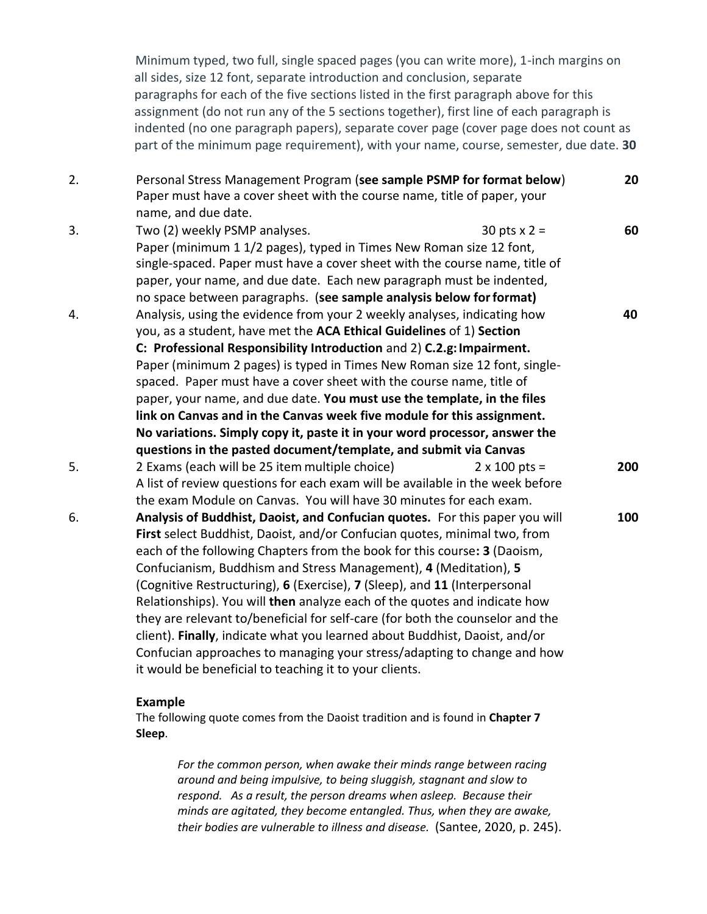Minimum typed, two full, single spaced pages (you can write more), 1-inch margins on all sides, size 12 font, separate introduction and conclusion, separate paragraphs for each of the five sections listed in the first paragraph above for this assignment (do not run any of the 5 sections together), first line of each paragraph is indented (no one paragraph papers), separate cover page (cover page does not count as part of the minimum page requirement), with your name, course, semester, due date. **30**

| Paper must have a cover sheet with the course name, title of paper, your                                                                                                                                                                                                                                                                                                                                                                                                                                                                                                                                                                                                                                                                                               |                                                                                                                                                                                                                                        |
|------------------------------------------------------------------------------------------------------------------------------------------------------------------------------------------------------------------------------------------------------------------------------------------------------------------------------------------------------------------------------------------------------------------------------------------------------------------------------------------------------------------------------------------------------------------------------------------------------------------------------------------------------------------------------------------------------------------------------------------------------------------------|----------------------------------------------------------------------------------------------------------------------------------------------------------------------------------------------------------------------------------------|
| Two (2) weekly PSMP analyses.<br>30 pts $x = 2$<br>Paper (minimum 1 1/2 pages), typed in Times New Roman size 12 font,<br>single-spaced. Paper must have a cover sheet with the course name, title of<br>paper, your name, and due date. Each new paragraph must be indented,                                                                                                                                                                                                                                                                                                                                                                                                                                                                                          | 60                                                                                                                                                                                                                                     |
| Analysis, using the evidence from your 2 weekly analyses, indicating how<br>you, as a student, have met the ACA Ethical Guidelines of 1) Section<br>C: Professional Responsibility Introduction and 2) C.2.g: Impairment.<br>Paper (minimum 2 pages) is typed in Times New Roman size 12 font, single-                                                                                                                                                                                                                                                                                                                                                                                                                                                                 | 40                                                                                                                                                                                                                                     |
| paper, your name, and due date. You must use the template, in the files<br>link on Canvas and in the Canvas week five module for this assignment.<br>No variations. Simply copy it, paste it in your word processor, answer the                                                                                                                                                                                                                                                                                                                                                                                                                                                                                                                                        |                                                                                                                                                                                                                                        |
| 2 Exams (each will be 25 item multiple choice)<br>$2 \times 100$ pts =<br>A list of review questions for each exam will be available in the week before<br>the exam Module on Canvas. You will have 30 minutes for each exam.                                                                                                                                                                                                                                                                                                                                                                                                                                                                                                                                          | 200                                                                                                                                                                                                                                    |
| Analysis of Buddhist, Daoist, and Confucian quotes. For this paper you will<br>First select Buddhist, Daoist, and/or Confucian quotes, minimal two, from<br>each of the following Chapters from the book for this course: 3 (Daoism,<br>Confucianism, Buddhism and Stress Management), 4 (Meditation), 5<br>(Cognitive Restructuring), 6 (Exercise), 7 (Sleep), and 11 (Interpersonal<br>Relationships). You will then analyze each of the quotes and indicate how<br>they are relevant to/beneficial for self-care (for both the counselor and the<br>client). Finally, indicate what you learned about Buddhist, Daoist, and/or<br>Confucian approaches to managing your stress/adapting to change and how<br>it would be beneficial to teaching it to your clients. | 100                                                                                                                                                                                                                                    |
|                                                                                                                                                                                                                                                                                                                                                                                                                                                                                                                                                                                                                                                                                                                                                                        | name, and due date.<br>no space between paragraphs. (see sample analysis below for format)<br>spaced. Paper must have a cover sheet with the course name, title of<br>questions in the pasted document/template, and submit via Canvas |

#### **Example**

The following quote comes from the Daoist tradition and is found in **Chapter 7 Sleep**.

> *For the common person, when awake their minds range between racing around and being impulsive, to being sluggish, stagnant and slow to respond. As a result, the person dreams when asleep. Because their minds are agitated, they become entangled. Thus, when they are awake, their bodies are vulnerable to illness and disease.* (Santee, 2020, p. 245).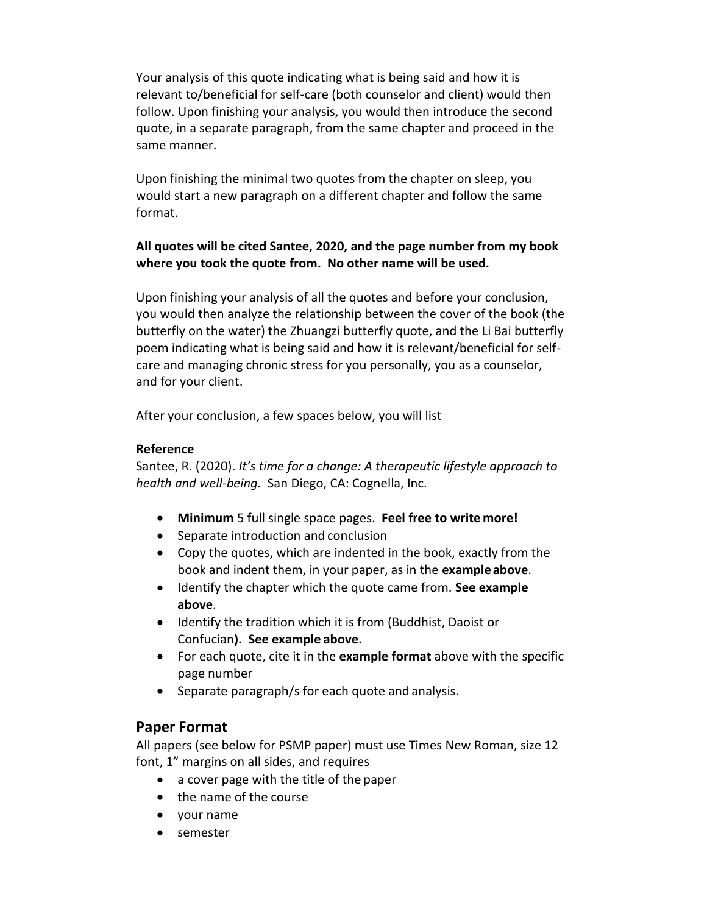Your analysis of this quote indicating what is being said and how it is relevant to/beneficial for self-care (both counselor and client) would then follow. Upon finishing your analysis, you would then introduce the second quote, in a separate paragraph, from the same chapter and proceed in the same manner.

Upon finishing the minimal two quotes from the chapter on sleep, you would start a new paragraph on a different chapter and follow the same format.

### **All quotes will be cited Santee, 2020, and the page number from my book where you took the quote from. No other name will be used.**

Upon finishing your analysis of all the quotes and before your conclusion, you would then analyze the relationship between the cover of the book (the butterfly on the water) the Zhuangzi butterfly quote, and the Li Bai butterfly poem indicating what is being said and how it is relevant/beneficial for selfcare and managing chronic stress for you personally, you as a counselor, and for your client.

After your conclusion, a few spaces below, you will list

#### **Reference**

Santee, R. (2020). *It's time for a change: A therapeutic lifestyle approach to health and well-being.* San Diego, CA: Cognella, Inc.

- **Minimum** 5 full single space pages. **Feel free to write more!**
- Separate introduction and conclusion
- Copy the quotes, which are indented in the book, exactly from the book and indent them, in your paper, as in the **exampleabove**.
- Identify the chapter which the quote came from. **See example above**.
- Identify the tradition which it is from (Buddhist, Daoist or Confucian**). See example above.**
- For each quote, cite it in the **example format** above with the specific page number
- Separate paragraph/s for each quote and analysis.

## **Paper Format**

All papers (see below for PSMP paper) must use Times New Roman, size 12 font, 1" margins on all sides, and requires

- a cover page with the title of the paper
- the name of the course
- your name
- semester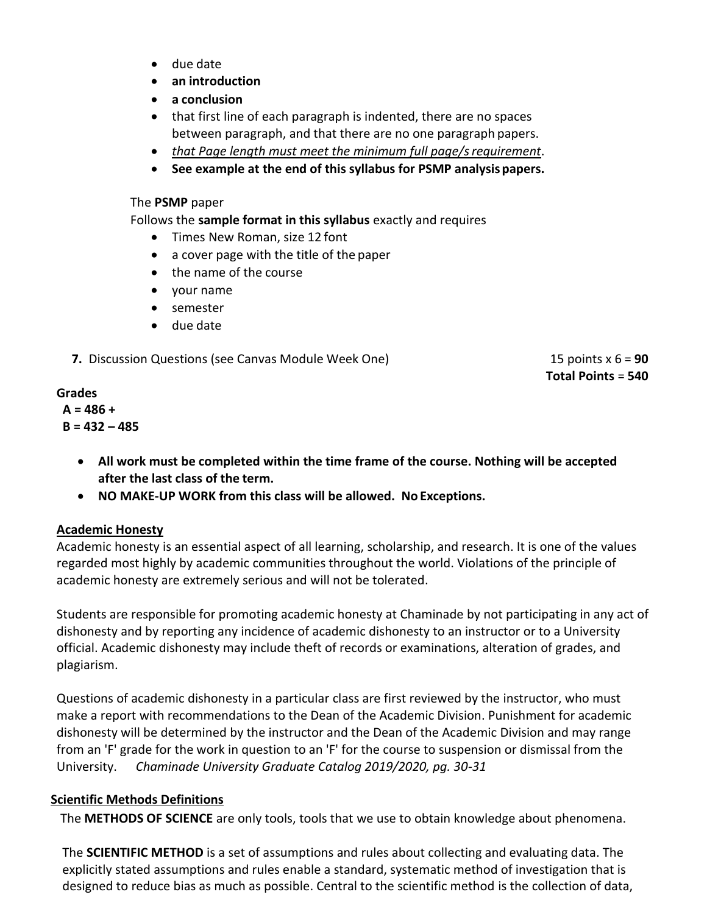- due date
- **an introduction**
- **a conclusion**
- that first line of each paragraph is indented, there are no spaces between paragraph, and that there are no one paragraph papers.
- *that Page length must meet the minimum full page/srequirement*.
- **See example at the end of this syllabus for PSMP analysispapers.**

The **PSMP** paper

Follows the **sample format in this syllabus** exactly and requires

- Times New Roman, size 12 font
- a cover page with the title of the paper
- the name of the course
- your name
- semester
- due date

**7.** Discussion Questions (see Canvas Module Week One) 15 points x 6 = **90** 

**Total Points** = **540**

#### **Grades**

**A = 486 + B = 432 – 485**

- **All work must be completed within the time frame of the course. Nothing will be accepted after the last class of the term.**
- **NO MAKE-UP WORK from this class will be allowed. No Exceptions.**

## **Academic Honesty**

Academic honesty is an essential aspect of all learning, scholarship, and research. It is one of the values regarded most highly by academic communities throughout the world. Violations of the principle of academic honesty are extremely serious and will not be tolerated.

Students are responsible for promoting academic honesty at Chaminade by not participating in any act of dishonesty and by reporting any incidence of academic dishonesty to an instructor or to a University official. Academic dishonesty may include theft of records or examinations, alteration of grades, and plagiarism.

Questions of academic dishonesty in a particular class are first reviewed by the instructor, who must make a report with recommendations to the Dean of the Academic Division. Punishment for academic dishonesty will be determined by the instructor and the Dean of the Academic Division and may range from an 'F' grade for the work in question to an 'F' for the course to suspension or dismissal from the University. *Chaminade University Graduate Catalog 2019/2020, pg. 30-31*

## **Scientific Methods Definitions**

The **METHODS OF SCIENCE** are only tools, tools that we use to obtain knowledge about phenomena.

The **SCIENTIFIC METHOD** is a set of assumptions and rules about collecting and evaluating data. The explicitly stated assumptions and rules enable a standard, systematic method of investigation that is designed to reduce bias as much as possible. Central to the scientific method is the collection of data,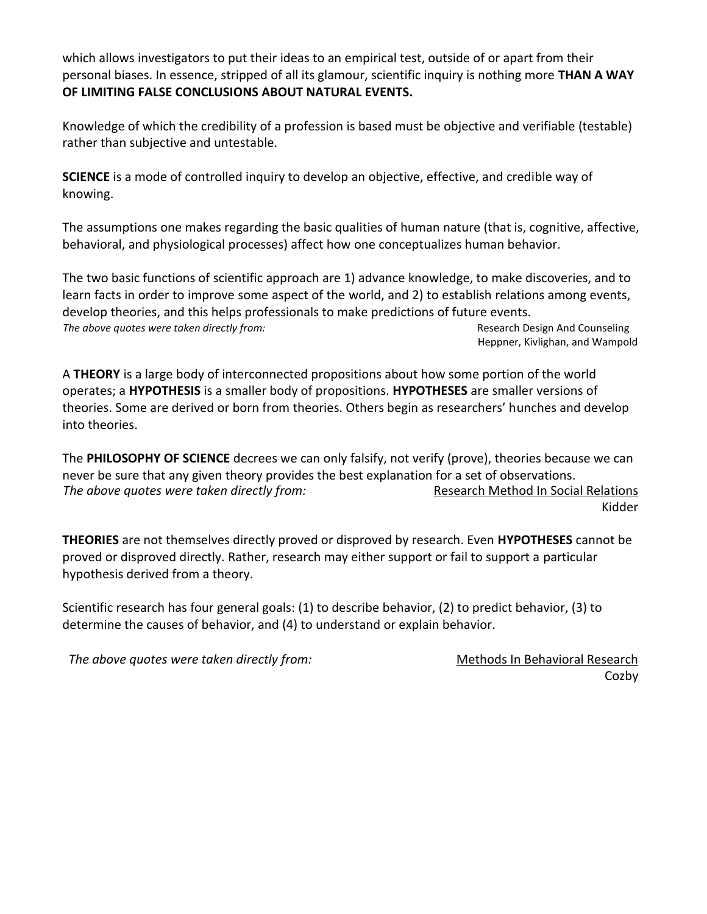which allows investigators to put their ideas to an empirical test, outside of or apart from their personal biases. In essence, stripped of all its glamour, scientific inquiry is nothing more **THAN A WAY OF LIMITING FALSE CONCLUSIONS ABOUT NATURAL EVENTS.**

Knowledge of which the credibility of a profession is based must be objective and verifiable (testable) rather than subjective and untestable.

**SCIENCE** is a mode of controlled inquiry to develop an objective, effective, and credible way of knowing.

The assumptions one makes regarding the basic qualities of human nature (that is, cognitive, affective, behavioral, and physiological processes) affect how one conceptualizes human behavior.

The two basic functions of scientific approach are 1) advance knowledge, to make discoveries, and to learn facts in order to improve some aspect of the world, and 2) to establish relations among events, develop theories, and this helps professionals to make predictions of future events. *The above quotes were taken directly from:*  $\blacksquare$  Research Design And Counseling Heppner, Kivlighan, and Wampold

A **THEORY** is a large body of interconnected propositions about how some portion of the world operates; a **HYPOTHESIS** is a smaller body of propositions. **HYPOTHESES** are smaller versions of theories. Some are derived or born from theories. Others begin as researchers' hunches and develop into theories.

The **PHILOSOPHY OF SCIENCE** decrees we can only falsify, not verify (prove), theories because we can never be sure that any given theory provides the best explanation for a set of observations. *The above quotes were taken directly from:* Research Method In Social Relations Kidder

**THEORIES** are not themselves directly proved or disproved by research. Even **HYPOTHESES** cannot be proved or disproved directly. Rather, research may either support or fail to support a particular hypothesis derived from a theory.

Scientific research has four general goals: (1) to describe behavior, (2) to predict behavior, (3) to determine the causes of behavior, and (4) to understand or explain behavior.

*The above quotes were taken directly from:* Methods In Behavioral Research

Cozby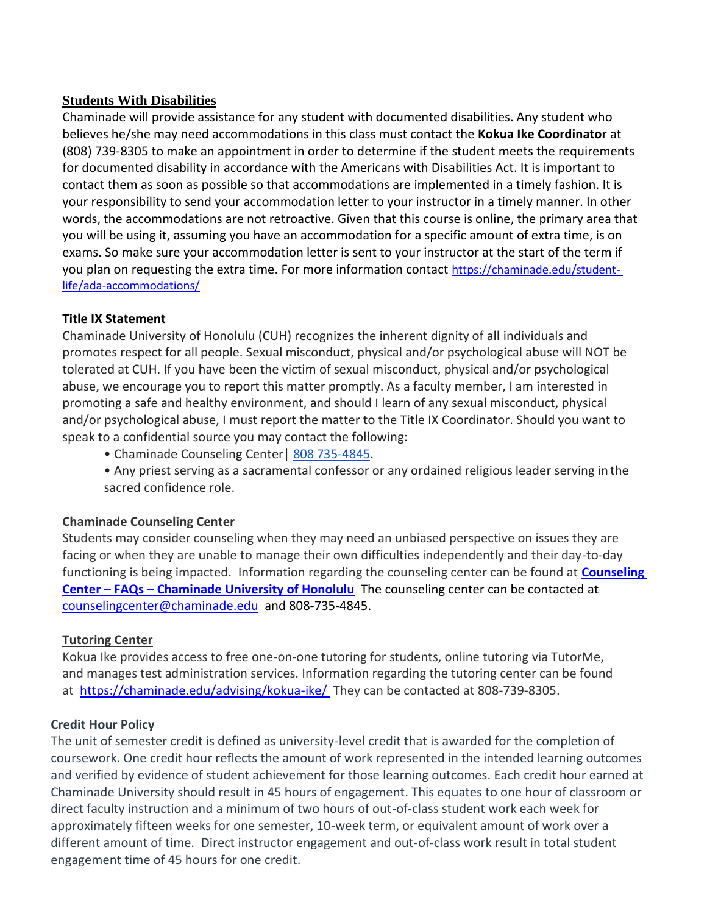### **Students With Disabilities**

Chaminade will provide assistance for any student with documented disabilities. Any student who believes he/she may need accommodations in this class must contact the **Kokua Ike Coordinator** at (808) 739-8305 to make an appointment in order to determine if the student meets the requirements for documented disability in accordance with the Americans with Disabilities Act. It is important to contact them as soon as possible so that accommodations are implemented in a timely fashion. It is your responsibility to send your accommodation letter to your instructor in a timely manner. In other words, the accommodations are not retroactive. Given that this course is online, the primary area that you will be using it, assuming you have an accommodation for a specific amount of extra time, is on exams. So make sure your accommodation letter is sent to your instructor at the start of the term if you plan on requesting the extra time. For more information contact [https://chaminade.edu/student](https://chaminade.edu/student-life/ada-accommodations/)[life/ada-accommodations/](https://chaminade.edu/student-life/ada-accommodations/)

### **Title IX Statement**

Chaminade University of Honolulu (CUH) recognizes the inherent dignity of all individuals and promotes respect for all people. Sexual misconduct, physical and/or psychological abuse will NOT be tolerated at CUH. If you have been the victim of sexual misconduct, physical and/or psychological abuse, we encourage you to report this matter promptly. As a faculty member, I am interested in promoting a safe and healthy environment, and should I learn of any sexual misconduct, physical and/or psychological abuse, I must report the matter to the Title IX Coordinator. Should you want to speak to a confidential source you may contact the following:

- Chaminade Counseling Center | 808 735-4845.
- Any priest serving as a sacramental confessor or any ordained religious leader serving in the sacred confidence role.

### **Chaminade Counseling Center**

Students may consider counseling when they may need an unbiased perspective on issues they are facing or when they are unable to manage their own difficulties independently and their day-to-day functioning is being impacted. Information regarding the counseling center can be found at **[Counseling](https://chaminade.edu/student-life/counseling-center/faq/)  Center – FAQs – [Chaminade University of Honolulu](https://chaminade.edu/student-life/counseling-center/faq/)** The counseling center can be contacted at [counselingcenter@chaminade.edu](mailto:counselingcenter@chaminade.edu) and 808-735-4845.

### **Tutoring Center**

Kokua Ike provides access to free one-on-one tutoring for students, online tutoring via TutorMe, and manages test administration services. Information regarding the tutoring center can be found at <https://chaminade.edu/advising/kokua-ike/> They can be contacted at 808-739-8305.

### **Credit Hour Policy**

The unit of semester credit is defined as university-level credit that is awarded for the completion of coursework. One credit hour reflects the amount of work represented in the intended learning outcomes and verified by evidence of student achievement for those learning outcomes. Each credit hour earned at Chaminade University should result in 45 hours of engagement. This equates to one hour of classroom or direct faculty instruction and a minimum of two hours of out-of-class student work each week for approximately fifteen weeks for one semester, 10-week term, or equivalent amount of work over a different amount of time. Direct instructor engagement and out-of-class work result in total student engagement time of 45 hours for one credit.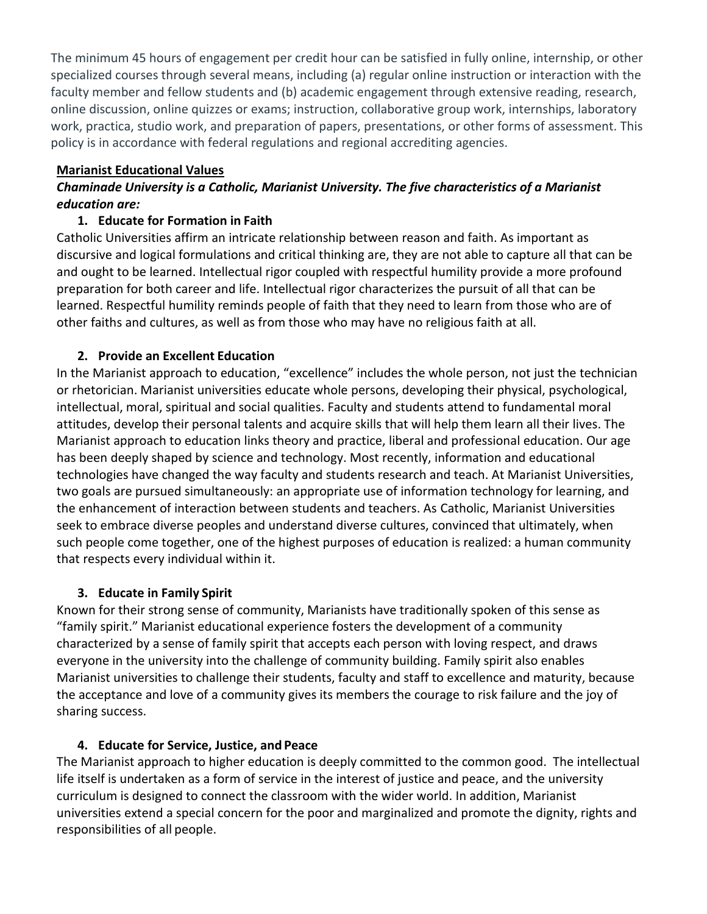The minimum 45 hours of engagement per credit hour can be satisfied in fully online, internship, or other specialized courses through several means, including (a) regular online instruction or interaction with the faculty member and fellow students and (b) academic engagement through extensive reading, research, online discussion, online quizzes or exams; instruction, collaborative group work, internships, laboratory work, practica, studio work, and preparation of papers, presentations, or other forms of assessment. This policy is in accordance with federal regulations and regional accrediting agencies.

### **Marianist Educational Values**

## *Chaminade University is a Catholic, Marianist University. The five characteristics of a Marianist education are:*

## **1. Educate for Formation in Faith**

Catholic Universities affirm an intricate relationship between reason and faith. As important as discursive and logical formulations and critical thinking are, they are not able to capture all that can be and ought to be learned. Intellectual rigor coupled with respectful humility provide a more profound preparation for both career and life. Intellectual rigor characterizes the pursuit of all that can be learned. Respectful humility reminds people of faith that they need to learn from those who are of other faiths and cultures, as well as from those who may have no religious faith at all.

## **2. Provide an Excellent Education**

In the Marianist approach to education, "excellence" includes the whole person, not just the technician or rhetorician. Marianist universities educate whole persons, developing their physical, psychological, intellectual, moral, spiritual and social qualities. Faculty and students attend to fundamental moral attitudes, develop their personal talents and acquire skills that will help them learn all their lives. The Marianist approach to education links theory and practice, liberal and professional education. Our age has been deeply shaped by science and technology. Most recently, information and educational technologies have changed the way faculty and students research and teach. At Marianist Universities, two goals are pursued simultaneously: an appropriate use of information technology for learning, and the enhancement of interaction between students and teachers. As Catholic, Marianist Universities seek to embrace diverse peoples and understand diverse cultures, convinced that ultimately, when such people come together, one of the highest purposes of education is realized: a human community that respects every individual within it.

## **3. Educate in Family Spirit**

Known for their strong sense of community, Marianists have traditionally spoken of this sense as "family spirit." Marianist educational experience fosters the development of a community characterized by a sense of family spirit that accepts each person with loving respect, and draws everyone in the university into the challenge of community building. Family spirit also enables Marianist universities to challenge their students, faculty and staff to excellence and maturity, because the acceptance and love of a community gives its members the courage to risk failure and the joy of sharing success.

## **4. Educate for Service, Justice, and Peace**

The Marianist approach to higher education is deeply committed to the common good. The intellectual life itself is undertaken as a form of service in the interest of justice and peace, and the university curriculum is designed to connect the classroom with the wider world. In addition, Marianist universities extend a special concern for the poor and marginalized and promote the dignity, rights and responsibilities of all people.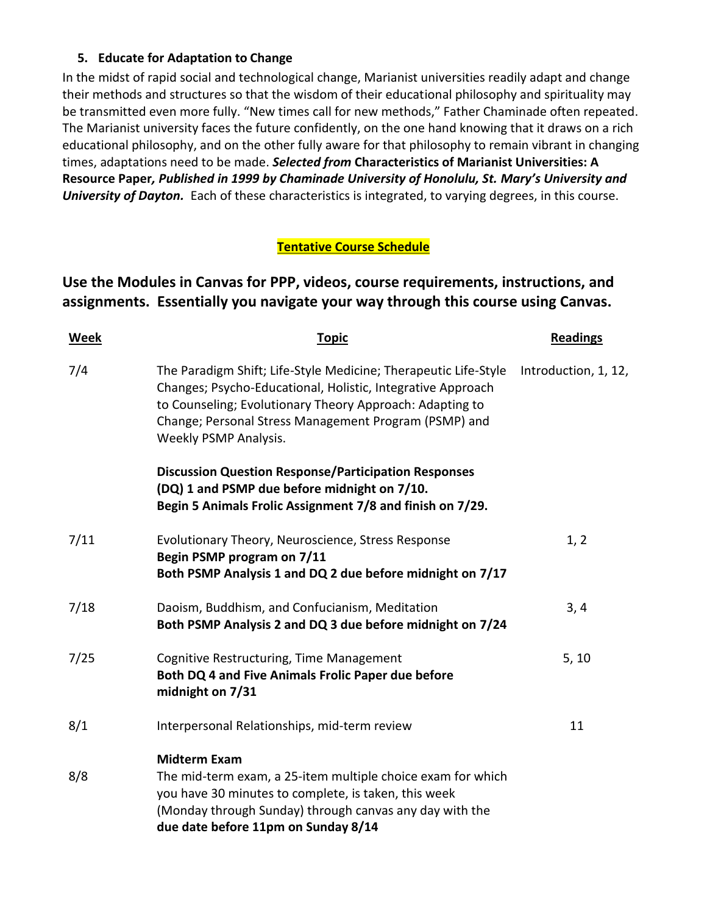## **5. Educate for Adaptation to Change**

In the midst of rapid social and technological change, Marianist universities readily adapt and change their methods and structures so that the wisdom of their educational philosophy and spirituality may be transmitted even more fully. "New times call for new methods," Father Chaminade often repeated. The Marianist university faces the future confidently, on the one hand knowing that it draws on a rich educational philosophy, and on the other fully aware for that philosophy to remain vibrant in changing times, adaptations need to be made. *Selected from* **Characteristics of Marianist Universities: A Resource Paper***, Published in 1999 by Chaminade University of Honolulu, St. Mary's University and University of Dayton.* Each of these characteristics is integrated, to varying degrees, in this course.

## **Tentative Course Schedule**

# **Use the Modules in Canvas for PPP, videos, course requirements, instructions, and assignments. Essentially you navigate your way through this course using Canvas.**

| <b>Week</b> | <b>Topic</b>                                                                                                                                                                                                                                                                 | <b>Readings</b>      |
|-------------|------------------------------------------------------------------------------------------------------------------------------------------------------------------------------------------------------------------------------------------------------------------------------|----------------------|
| 7/4         | The Paradigm Shift; Life-Style Medicine; Therapeutic Life-Style<br>Changes; Psycho-Educational, Holistic, Integrative Approach<br>to Counseling; Evolutionary Theory Approach: Adapting to<br>Change; Personal Stress Management Program (PSMP) and<br>Weekly PSMP Analysis. | Introduction, 1, 12, |
|             | <b>Discussion Question Response/Participation Responses</b><br>(DQ) 1 and PSMP due before midnight on 7/10.<br>Begin 5 Animals Frolic Assignment 7/8 and finish on 7/29.                                                                                                     |                      |
| 7/11        | Evolutionary Theory, Neuroscience, Stress Response<br>Begin PSMP program on 7/11<br>Both PSMP Analysis 1 and DQ 2 due before midnight on 7/17                                                                                                                                | 1, 2                 |
| 7/18        | Daoism, Buddhism, and Confucianism, Meditation<br>Both PSMP Analysis 2 and DQ 3 due before midnight on 7/24                                                                                                                                                                  | 3, 4                 |
| 7/25        | Cognitive Restructuring, Time Management<br>Both DQ 4 and Five Animals Frolic Paper due before<br>midnight on 7/31                                                                                                                                                           | 5, 10                |
| 8/1         | Interpersonal Relationships, mid-term review                                                                                                                                                                                                                                 | 11                   |
| 8/8         | <b>Midterm Exam</b><br>The mid-term exam, a 25-item multiple choice exam for which<br>you have 30 minutes to complete, is taken, this week<br>(Monday through Sunday) through canvas any day with the<br>due date before 11pm on Sunday 8/14                                 |                      |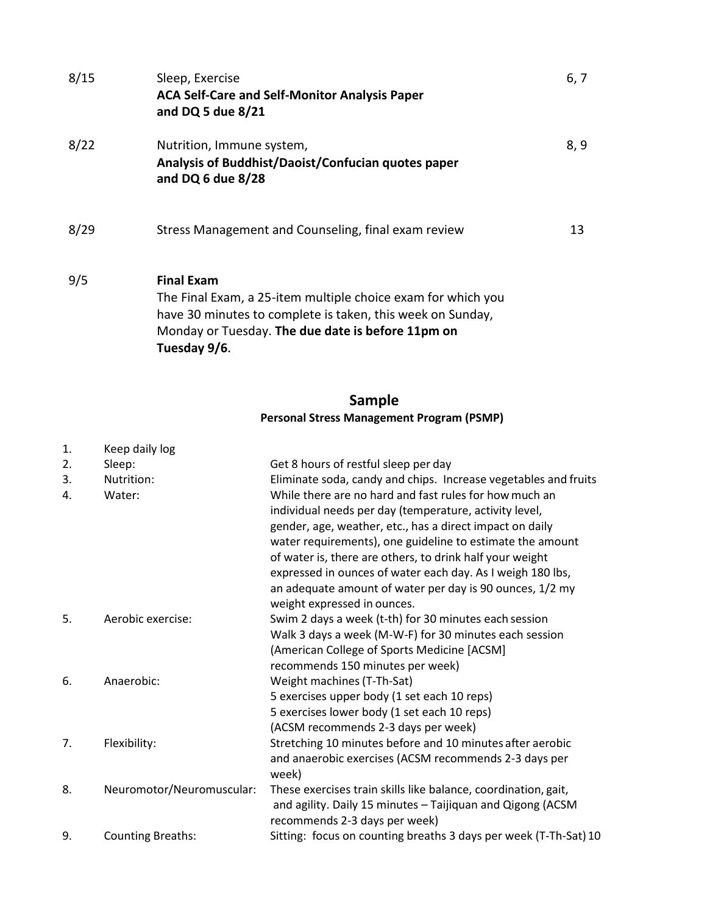| 8/15 | Sleep, Exercise<br><b>ACA Self-Care and Self-Monitor Analysis Paper</b><br>and DQ 5 due 8/21                                                                                                                         | 6, 7 |
|------|----------------------------------------------------------------------------------------------------------------------------------------------------------------------------------------------------------------------|------|
| 8/22 | Nutrition, Immune system,<br>Analysis of Buddhist/Daoist/Confucian quotes paper<br>and DQ 6 due 8/28                                                                                                                 | 8, 9 |
| 8/29 | Stress Management and Counseling, final exam review                                                                                                                                                                  | 13   |
| 9/5  | <b>Final Exam</b><br>The Final Exam, a 25-item multiple choice exam for which you<br>have 30 minutes to complete is taken, this week on Sunday,<br>Monday or Tuesday. The due date is before 11pm on<br>Tuesday 9/6. |      |

### **Sample Personal Stress Management Program (PSMP)**

| 1. | Keep daily log            |                                                                                                                                                                                                                                                                                                                                                                                                                                 |
|----|---------------------------|---------------------------------------------------------------------------------------------------------------------------------------------------------------------------------------------------------------------------------------------------------------------------------------------------------------------------------------------------------------------------------------------------------------------------------|
| 2. | Sleep:                    | Get 8 hours of restful sleep per day                                                                                                                                                                                                                                                                                                                                                                                            |
| 3. | Nutrition:                | Eliminate soda, candy and chips. Increase vegetables and fruits                                                                                                                                                                                                                                                                                                                                                                 |
| 4. | Water:                    | While there are no hard and fast rules for how much an<br>individual needs per day (temperature, activity level,<br>gender, age, weather, etc., has a direct impact on daily<br>water requirements), one guideline to estimate the amount<br>of water is, there are others, to drink half your weight<br>expressed in ounces of water each day. As I weigh 180 lbs,<br>an adequate amount of water per day is 90 ounces, 1/2 my |
|    |                           | weight expressed in ounces.                                                                                                                                                                                                                                                                                                                                                                                                     |
| 5. | Aerobic exercise:         | Swim 2 days a week (t-th) for 30 minutes each session                                                                                                                                                                                                                                                                                                                                                                           |
|    |                           | Walk 3 days a week (M-W-F) for 30 minutes each session                                                                                                                                                                                                                                                                                                                                                                          |
|    |                           | (American College of Sports Medicine [ACSM]                                                                                                                                                                                                                                                                                                                                                                                     |
|    |                           | recommends 150 minutes per week)                                                                                                                                                                                                                                                                                                                                                                                                |
| 6. | Anaerobic:                | Weight machines (T-Th-Sat)                                                                                                                                                                                                                                                                                                                                                                                                      |
|    |                           | 5 exercises upper body (1 set each 10 reps)                                                                                                                                                                                                                                                                                                                                                                                     |
|    |                           | 5 exercises lower body (1 set each 10 reps)                                                                                                                                                                                                                                                                                                                                                                                     |
|    |                           | (ACSM recommends 2-3 days per week)                                                                                                                                                                                                                                                                                                                                                                                             |
| 7. | Flexibility:              | Stretching 10 minutes before and 10 minutes after aerobic                                                                                                                                                                                                                                                                                                                                                                       |
|    |                           | and anaerobic exercises (ACSM recommends 2-3 days per                                                                                                                                                                                                                                                                                                                                                                           |
|    |                           | week)                                                                                                                                                                                                                                                                                                                                                                                                                           |
| 8. | Neuromotor/Neuromuscular: | These exercises train skills like balance, coordination, gait,<br>and agility. Daily 15 minutes - Taijiquan and Qigong (ACSM<br>recommends 2-3 days per week)                                                                                                                                                                                                                                                                   |
| 9. | <b>Counting Breaths:</b>  | Sitting: focus on counting breaths 3 days per week (T-Th-Sat) 10                                                                                                                                                                                                                                                                                                                                                                |
|    |                           |                                                                                                                                                                                                                                                                                                                                                                                                                                 |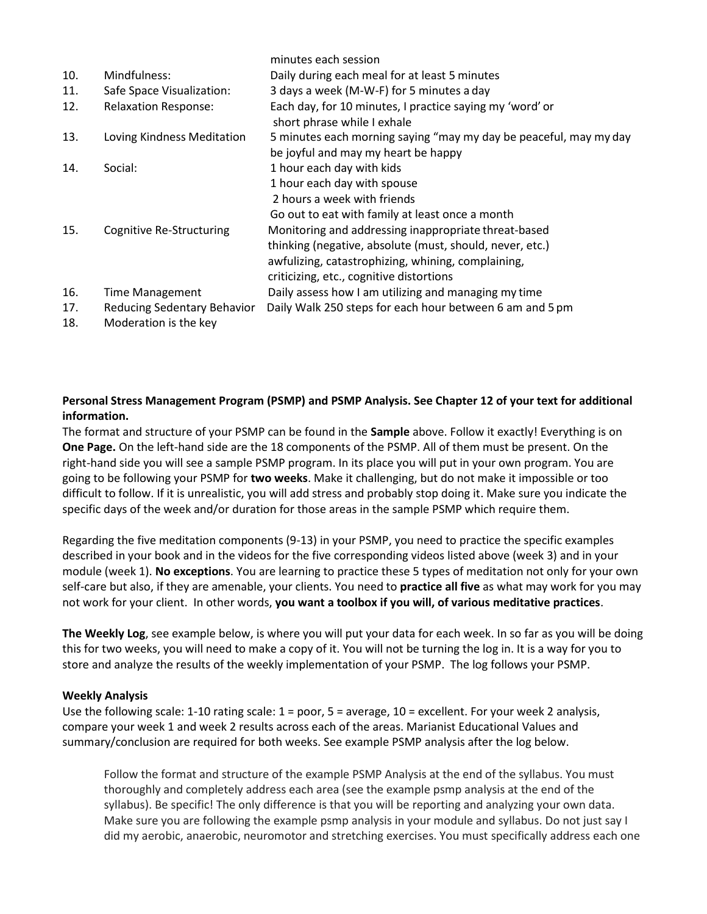|     |                                 | minutes each session                                                                    |
|-----|---------------------------------|-----------------------------------------------------------------------------------------|
| 10. | Mindfulness:                    | Daily during each meal for at least 5 minutes                                           |
| 11. | Safe Space Visualization:       | 3 days a week (M-W-F) for 5 minutes a day                                               |
| 12. | <b>Relaxation Response:</b>     | Each day, for 10 minutes, I practice saying my 'word' or<br>short phrase while I exhale |
| 13. | Loving Kindness Meditation      | 5 minutes each morning saying "may my day be peaceful, may my day                       |
|     |                                 | be joyful and may my heart be happy                                                     |
| 14. | Social:                         | 1 hour each day with kids                                                               |
|     |                                 | 1 hour each day with spouse                                                             |
|     |                                 | 2 hours a week with friends                                                             |
|     |                                 | Go out to eat with family at least once a month                                         |
| 15. | <b>Cognitive Re-Structuring</b> | Monitoring and addressing inappropriate threat-based                                    |
|     |                                 | thinking (negative, absolute (must, should, never, etc.)                                |
|     |                                 | awfulizing, catastrophizing, whining, complaining,                                      |
|     |                                 | criticizing, etc., cognitive distortions                                                |
| 16. | <b>Time Management</b>          | Daily assess how I am utilizing and managing my time                                    |
| 17. | Reducing Sedentary Behavior     | Daily Walk 250 steps for each hour between 6 am and 5 pm                                |
| 18. | Moderation is the key           |                                                                                         |

#### **Personal Stress Management Program (PSMP) and PSMP Analysis. See Chapter 12 of your text for additional information.**

The format and structure of your PSMP can be found in the **Sample** above. Follow it exactly! Everything is on **One Page.** On the left-hand side are the 18 components of the PSMP. All of them must be present. On the right-hand side you will see a sample PSMP program. In its place you will put in your own program. You are going to be following your PSMP for **two weeks**. Make it challenging, but do not make it impossible or too difficult to follow. If it is unrealistic, you will add stress and probably stop doing it. Make sure you indicate the specific days of the week and/or duration for those areas in the sample PSMP which require them.

Regarding the five meditation components (9-13) in your PSMP, you need to practice the specific examples described in your book and in the videos for the five corresponding videos listed above (week 3) and in your module (week 1). **No exceptions**. You are learning to practice these 5 types of meditation not only for your own self-care but also, if they are amenable, your clients. You need to **practice all five** as what may work for you may not work for your client. In other words, **you want a toolbox if you will, of various meditative practices**.

**The Weekly Log**, see example below, is where you will put your data for each week. In so far as you will be doing this for two weeks, you will need to make a copy of it. You will not be turning the log in. It is a way for you to store and analyze the results of the weekly implementation of your PSMP. The log follows your PSMP.

#### **Weekly Analysis**

Use the following scale: 1-10 rating scale: 1 = poor, 5 = average, 10 = excellent. For your week 2 analysis, compare your week 1 and week 2 results across each of the areas. Marianist Educational Values and summary/conclusion are required for both weeks. See example PSMP analysis after the log below.

Follow the format and structure of the example PSMP Analysis at the end of the syllabus. You must thoroughly and completely address each area (see the example psmp analysis at the end of the syllabus). Be specific! The only difference is that you will be reporting and analyzing your own data. Make sure you are following the example psmp analysis in your module and syllabus. Do not just say I did my aerobic, anaerobic, neuromotor and stretching exercises. You must specifically address each one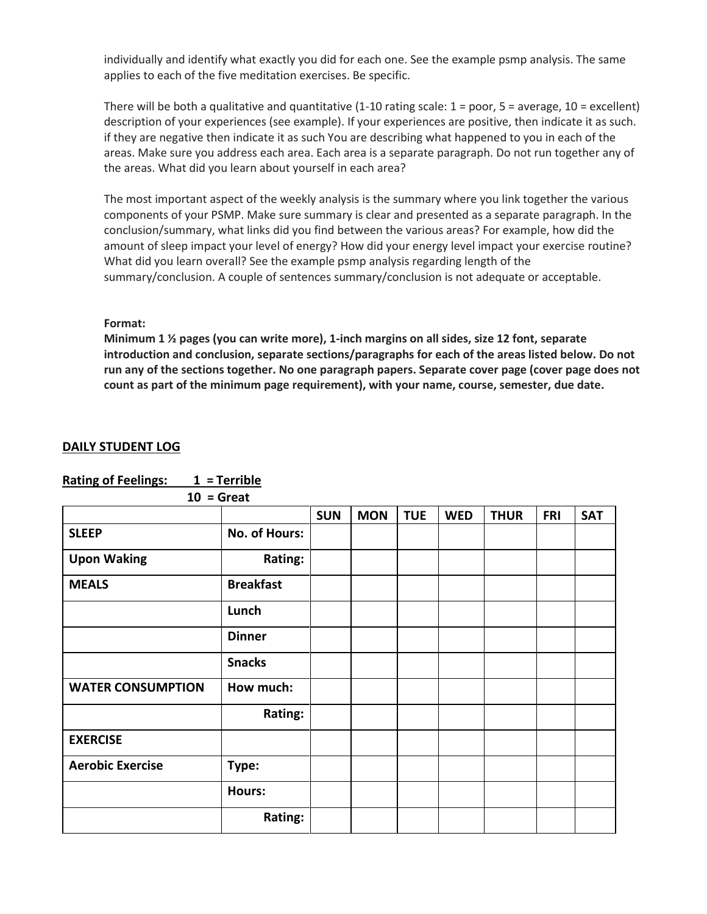individually and identify what exactly you did for each one. See the example psmp analysis. The same applies to each of the five meditation exercises. Be specific.

There will be both a qualitative and quantitative  $(1-10 \text{ rating scale: } 1 = \text{poor}, 5 = \text{average}, 10 = \text{excellent})$ description of your experiences (see example). If your experiences are positive, then indicate it as such. if they are negative then indicate it as such You are describing what happened to you in each of the areas. Make sure you address each area. Each area is a separate paragraph. Do not run together any of the areas. What did you learn about yourself in each area?

The most important aspect of the weekly analysis is the summary where you link together the various components of your PSMP. Make sure summary is clear and presented as a separate paragraph. In the conclusion/summary, what links did you find between the various areas? For example, how did the amount of sleep impact your level of energy? How did your energy level impact your exercise routine? What did you learn overall? See the example psmp analysis regarding length of the summary/conclusion. A couple of sentences summary/conclusion is not adequate or acceptable.

#### **Format:**

**Minimum 1 ½ pages (you can write more), 1-inch margins on all sides, size 12 font, separate introduction and conclusion, separate sections/paragraphs for each of the areas listed below. Do not run any of the sections together. No one paragraph papers. Separate cover page (cover page does not count as part of the minimum page requirement), with your name, course, semester, due date.**

#### **DAILY STUDENT LOG**

|                          | $10 =$ Great     |            |            |            |            |             |            |            |
|--------------------------|------------------|------------|------------|------------|------------|-------------|------------|------------|
|                          |                  | <b>SUN</b> | <b>MON</b> | <b>TUE</b> | <b>WED</b> | <b>THUR</b> | <b>FRI</b> | <b>SAT</b> |
| <b>SLEEP</b>             | No. of Hours:    |            |            |            |            |             |            |            |
| <b>Upon Waking</b>       | Rating:          |            |            |            |            |             |            |            |
| <b>MEALS</b>             | <b>Breakfast</b> |            |            |            |            |             |            |            |
|                          | Lunch            |            |            |            |            |             |            |            |
|                          | <b>Dinner</b>    |            |            |            |            |             |            |            |
|                          | <b>Snacks</b>    |            |            |            |            |             |            |            |
| <b>WATER CONSUMPTION</b> | How much:        |            |            |            |            |             |            |            |
|                          | <b>Rating:</b>   |            |            |            |            |             |            |            |
| <b>EXERCISE</b>          |                  |            |            |            |            |             |            |            |
| <b>Aerobic Exercise</b>  | Type:            |            |            |            |            |             |            |            |
|                          | Hours:           |            |            |            |            |             |            |            |
|                          | Rating:          |            |            |            |            |             |            |            |

**Rating of Feelings: 1 = Terrible**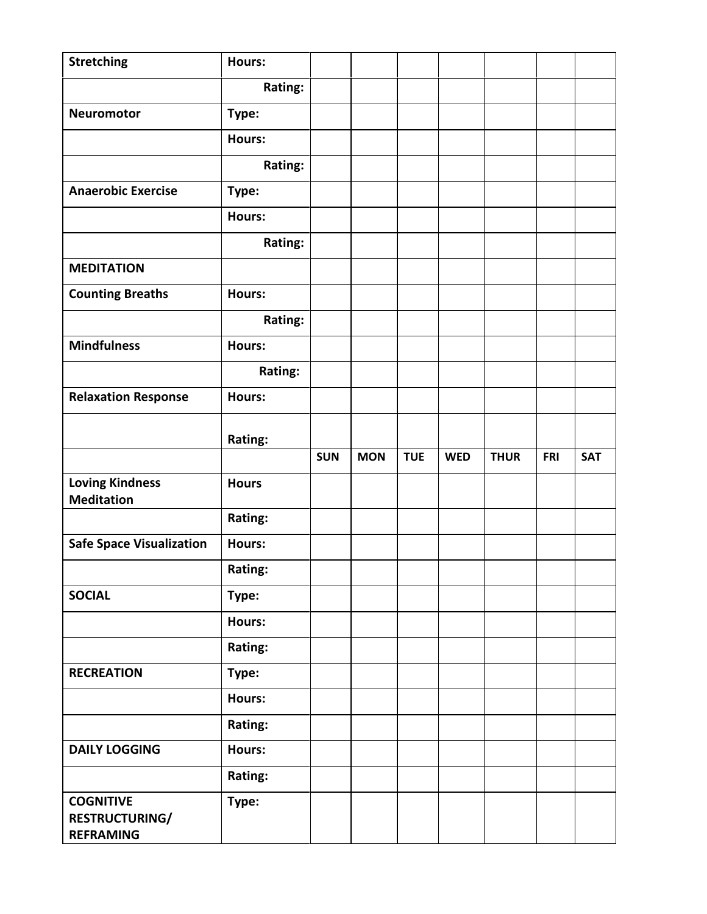| <b>Stretching</b>                           | Hours:        |            |            |            |            |             |            |            |
|---------------------------------------------|---------------|------------|------------|------------|------------|-------------|------------|------------|
|                                             | Rating:       |            |            |            |            |             |            |            |
| Neuromotor                                  | Type:         |            |            |            |            |             |            |            |
|                                             | Hours:        |            |            |            |            |             |            |            |
|                                             | Rating:       |            |            |            |            |             |            |            |
| <b>Anaerobic Exercise</b>                   | Type:         |            |            |            |            |             |            |            |
|                                             | Hours:        |            |            |            |            |             |            |            |
|                                             | Rating:       |            |            |            |            |             |            |            |
| <b>MEDITATION</b>                           |               |            |            |            |            |             |            |            |
| <b>Counting Breaths</b>                     | <b>Hours:</b> |            |            |            |            |             |            |            |
|                                             | Rating:       |            |            |            |            |             |            |            |
| <b>Mindfulness</b>                          | Hours:        |            |            |            |            |             |            |            |
|                                             | Rating:       |            |            |            |            |             |            |            |
| <b>Relaxation Response</b>                  | Hours:        |            |            |            |            |             |            |            |
|                                             |               |            |            |            |            |             |            |            |
|                                             | Rating:       | <b>SUN</b> | <b>MON</b> | <b>TUE</b> | <b>WED</b> | <b>THUR</b> | <b>FRI</b> | <b>SAT</b> |
| <b>Loving Kindness</b><br><b>Meditation</b> | <b>Hours</b>  |            |            |            |            |             |            |            |
|                                             | Rating:       |            |            |            |            |             |            |            |
| <b>Safe Space Visualization</b>             | Hours:        |            |            |            |            |             |            |            |
|                                             | Rating:       |            |            |            |            |             |            |            |
| <b>SOCIAL</b>                               | Type:         |            |            |            |            |             |            |            |
|                                             |               |            |            |            |            |             |            |            |
|                                             | <b>Hours:</b> |            |            |            |            |             |            |            |
|                                             | Rating:       |            |            |            |            |             |            |            |
| <b>RECREATION</b>                           | Type:         |            |            |            |            |             |            |            |
|                                             | Hours:        |            |            |            |            |             |            |            |
|                                             | Rating:       |            |            |            |            |             |            |            |
| <b>DAILY LOGGING</b>                        | Hours:        |            |            |            |            |             |            |            |
|                                             | Rating:       |            |            |            |            |             |            |            |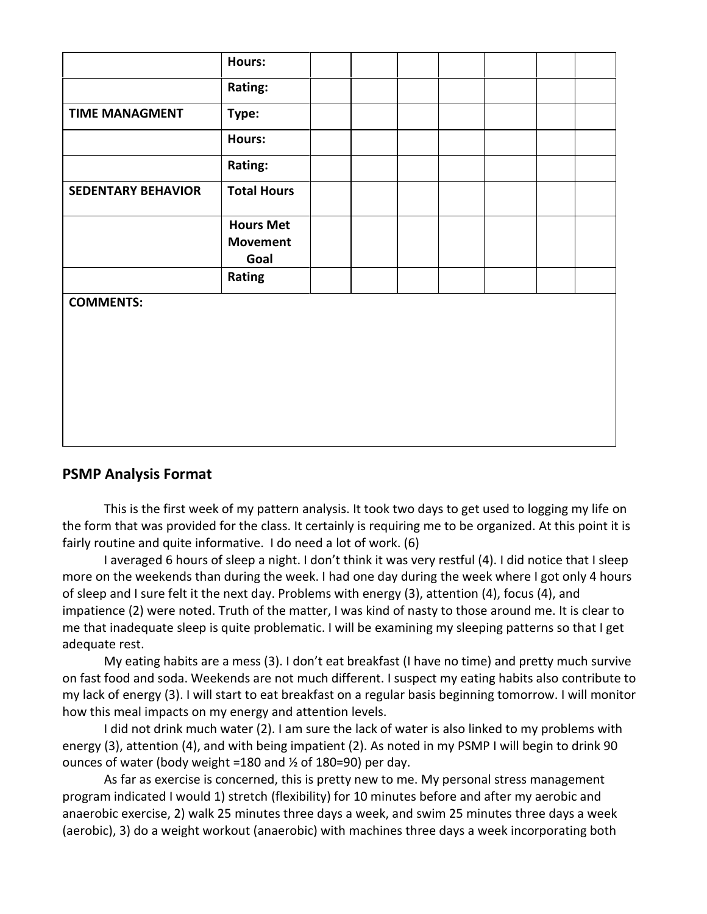|                           | Hours:                                      |  |  |  |  |
|---------------------------|---------------------------------------------|--|--|--|--|
|                           | Rating:                                     |  |  |  |  |
| <b>TIME MANAGMENT</b>     | Type:                                       |  |  |  |  |
|                           | Hours:                                      |  |  |  |  |
|                           | Rating:                                     |  |  |  |  |
| <b>SEDENTARY BEHAVIOR</b> | <b>Total Hours</b>                          |  |  |  |  |
|                           | <b>Hours Met</b><br><b>Movement</b><br>Goal |  |  |  |  |
|                           | Rating                                      |  |  |  |  |
| <b>COMMENTS:</b>          |                                             |  |  |  |  |

### **PSMP Analysis Format**

This is the first week of my pattern analysis. It took two days to get used to logging my life on the form that was provided for the class. It certainly is requiring me to be organized. At this point it is fairly routine and quite informative. I do need a lot of work. (6)

I averaged 6 hours of sleep a night. I don't think it was very restful (4). I did notice that I sleep more on the weekends than during the week. I had one day during the week where I got only 4 hours of sleep and I sure felt it the next day. Problems with energy (3), attention (4), focus (4), and impatience (2) were noted. Truth of the matter, I was kind of nasty to those around me. It is clear to me that inadequate sleep is quite problematic. I will be examining my sleeping patterns so that I get adequate rest.

My eating habits are a mess (3). I don't eat breakfast (I have no time) and pretty much survive on fast food and soda. Weekends are not much different. I suspect my eating habits also contribute to my lack of energy (3). I will start to eat breakfast on a regular basis beginning tomorrow. I will monitor how this meal impacts on my energy and attention levels.

I did not drink much water (2). I am sure the lack of water is also linked to my problems with energy (3), attention (4), and with being impatient (2). As noted in my PSMP I will begin to drink 90 ounces of water (body weight =180 and ½ of 180=90) per day.

As far as exercise is concerned, this is pretty new to me. My personal stress management program indicated I would 1) stretch (flexibility) for 10 minutes before and after my aerobic and anaerobic exercise, 2) walk 25 minutes three days a week, and swim 25 minutes three days a week (aerobic), 3) do a weight workout (anaerobic) with machines three days a week incorporating both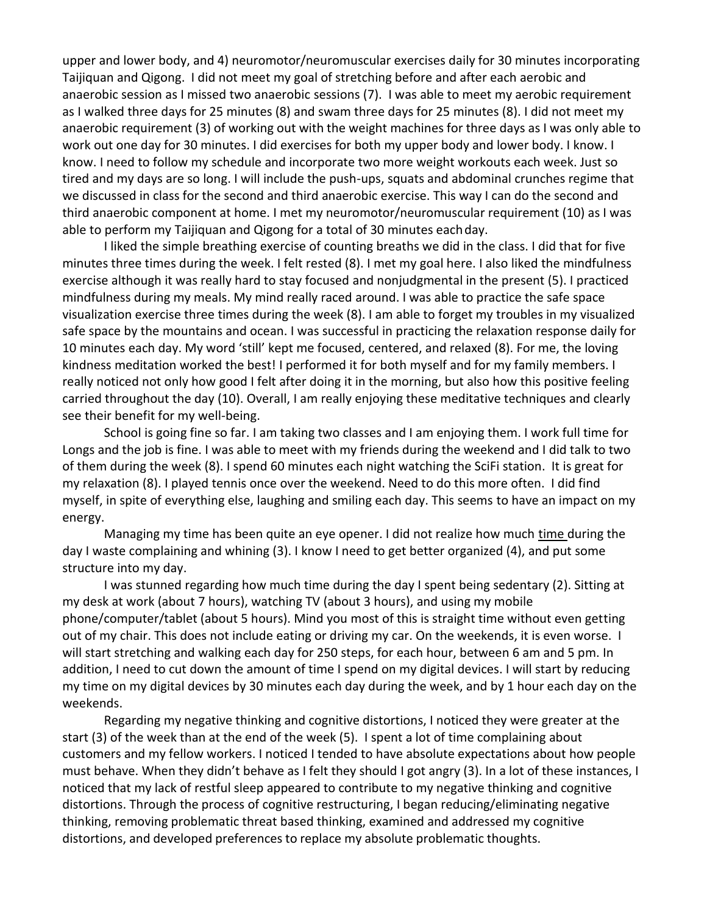upper and lower body, and 4) neuromotor/neuromuscular exercises daily for 30 minutes incorporating Taijiquan and Qigong. I did not meet my goal of stretching before and after each aerobic and anaerobic session as I missed two anaerobic sessions (7). I was able to meet my aerobic requirement as I walked three days for 25 minutes (8) and swam three days for 25 minutes (8). I did not meet my anaerobic requirement (3) of working out with the weight machines for three days as I was only able to work out one day for 30 minutes. I did exercises for both my upper body and lower body. I know. I know. I need to follow my schedule and incorporate two more weight workouts each week. Just so tired and my days are so long. I will include the push-ups, squats and abdominal crunches regime that we discussed in class for the second and third anaerobic exercise. This way I can do the second and third anaerobic component at home. I met my neuromotor/neuromuscular requirement (10) as I was able to perform my Taijiquan and Qigong for a total of 30 minutes eachday.

I liked the simple breathing exercise of counting breaths we did in the class. I did that for five minutes three times during the week. I felt rested (8). I met my goal here. I also liked the mindfulness exercise although it was really hard to stay focused and nonjudgmental in the present (5). I practiced mindfulness during my meals. My mind really raced around. I was able to practice the safe space visualization exercise three times during the week (8). I am able to forget my troubles in my visualized safe space by the mountains and ocean. I was successful in practicing the relaxation response daily for 10 minutes each day. My word 'still' kept me focused, centered, and relaxed (8). For me, the loving kindness meditation worked the best! I performed it for both myself and for my family members. I really noticed not only how good I felt after doing it in the morning, but also how this positive feeling carried throughout the day (10). Overall, I am really enjoying these meditative techniques and clearly see their benefit for my well-being.

School is going fine so far. I am taking two classes and I am enjoying them. I work full time for Longs and the job is fine. I was able to meet with my friends during the weekend and I did talk to two of them during the week (8). I spend 60 minutes each night watching the SciFi station. It is great for my relaxation (8). I played tennis once over the weekend. Need to do this more often. I did find myself, in spite of everything else, laughing and smiling each day. This seems to have an impact on my energy.

Managing my time has been quite an eye opener. I did not realize how much time during the day I waste complaining and whining (3). I know I need to get better organized (4), and put some structure into my day.

I was stunned regarding how much time during the day I spent being sedentary (2). Sitting at my desk at work (about 7 hours), watching TV (about 3 hours), and using my mobile phone/computer/tablet (about 5 hours). Mind you most of this is straight time without even getting out of my chair. This does not include eating or driving my car. On the weekends, it is even worse. I will start stretching and walking each day for 250 steps, for each hour, between 6 am and 5 pm. In addition, I need to cut down the amount of time I spend on my digital devices. I will start by reducing my time on my digital devices by 30 minutes each day during the week, and by 1 hour each day on the weekends.

Regarding my negative thinking and cognitive distortions, I noticed they were greater at the start (3) of the week than at the end of the week (5). I spent a lot of time complaining about customers and my fellow workers. I noticed I tended to have absolute expectations about how people must behave. When they didn't behave as I felt they should I got angry (3). In a lot of these instances, I noticed that my lack of restful sleep appeared to contribute to my negative thinking and cognitive distortions. Through the process of cognitive restructuring, I began reducing/eliminating negative thinking, removing problematic threat based thinking, examined and addressed my cognitive distortions, and developed preferences to replace my absolute problematic thoughts.